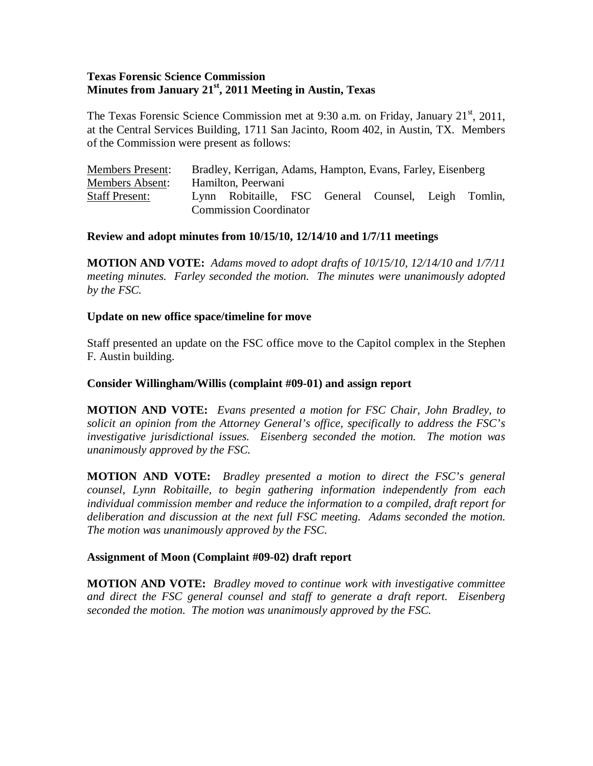# **Texas Forensic Science Commission Minutes from January 21st, 2011 Meeting in Austin, Texas**

The Texas Forensic Science Commission met at 9:30 a.m. on Friday, January  $21<sup>st</sup>$ , 2011, at the Central Services Building, 1711 San Jacinto, Room 402, in Austin, TX. Members of the Commission were present as follows:

| <b>Members Present:</b> | Bradley, Kerrigan, Adams, Hampton, Evans, Farley, Eisenberg |                                                     |  |  |  |  |  |
|-------------------------|-------------------------------------------------------------|-----------------------------------------------------|--|--|--|--|--|
| Members Absent:         | Hamilton, Peerwani                                          |                                                     |  |  |  |  |  |
| <b>Staff Present:</b>   |                                                             | Lynn Robitaille, FSC General Counsel, Leigh Tomlin, |  |  |  |  |  |
|                         | <b>Commission Coordinator</b>                               |                                                     |  |  |  |  |  |

## **Review and adopt minutes from 10/15/10, 12/14/10 and 1/7/11 meetings**

**MOTION AND VOTE:** *Adams moved to adopt drafts of 10/15/10, 12/14/10 and 1/7/11 meeting minutes. Farley seconded the motion. The minutes were unanimously adopted by the FSC.* 

## **Update on new office space/timeline for move**

Staff presented an update on the FSC office move to the Capitol complex in the Stephen F. Austin building.

## **Consider Willingham/Willis (complaint #09-01) and assign report**

**MOTION AND VOTE:** *Evans presented a motion for FSC Chair, John Bradley, to solicit an opinion from the Attorney General's office, specifically to address the FSC's investigative jurisdictional issues. Eisenberg seconded the motion. The motion was unanimously approved by the FSC.* 

**MOTION AND VOTE:** *Bradley presented a motion to direct the FSC's general counsel, Lynn Robitaille, to begin gathering information independently from each individual commission member and reduce the information to a compiled, draft report for deliberation and discussion at the next full FSC meeting. Adams seconded the motion. The motion was unanimously approved by the FSC.* 

## **Assignment of Moon (Complaint #09-02) draft report**

**MOTION AND VOTE:** *Bradley moved to continue work with investigative committee and direct the FSC general counsel and staff to generate a draft report. Eisenberg seconded the motion. The motion was unanimously approved by the FSC.*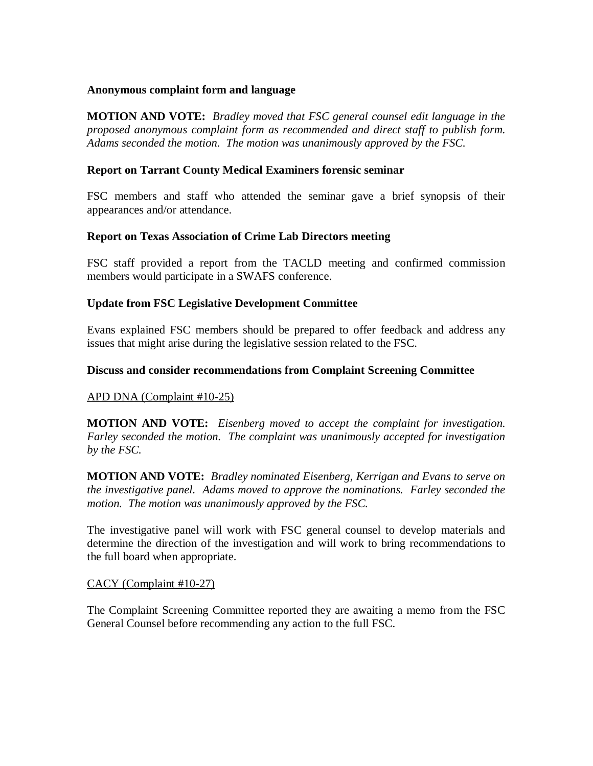#### **Anonymous complaint form and language**

**MOTION AND VOTE:** *Bradley moved that FSC general counsel edit language in the proposed anonymous complaint form as recommended and direct staff to publish form. Adams seconded the motion. The motion was unanimously approved by the FSC.*

## **Report on Tarrant County Medical Examiners forensic seminar**

FSC members and staff who attended the seminar gave a brief synopsis of their appearances and/or attendance.

## **Report on Texas Association of Crime Lab Directors meeting**

FSC staff provided a report from the TACLD meeting and confirmed commission members would participate in a SWAFS conference.

# **Update from FSC Legislative Development Committee**

Evans explained FSC members should be prepared to offer feedback and address any issues that might arise during the legislative session related to the FSC.

## **Discuss and consider recommendations from Complaint Screening Committee**

## APD DNA (Complaint #10-25)

**MOTION AND VOTE:** *Eisenberg moved to accept the complaint for investigation. Farley seconded the motion. The complaint was unanimously accepted for investigation by the FSC.* 

**MOTION AND VOTE:** *Bradley nominated Eisenberg, Kerrigan and Evans to serve on the investigative panel. Adams moved to approve the nominations. Farley seconded the motion. The motion was unanimously approved by the FSC.* 

The investigative panel will work with FSC general counsel to develop materials and determine the direction of the investigation and will work to bring recommendations to the full board when appropriate.

## CACY (Complaint #10-27)

The Complaint Screening Committee reported they are awaiting a memo from the FSC General Counsel before recommending any action to the full FSC.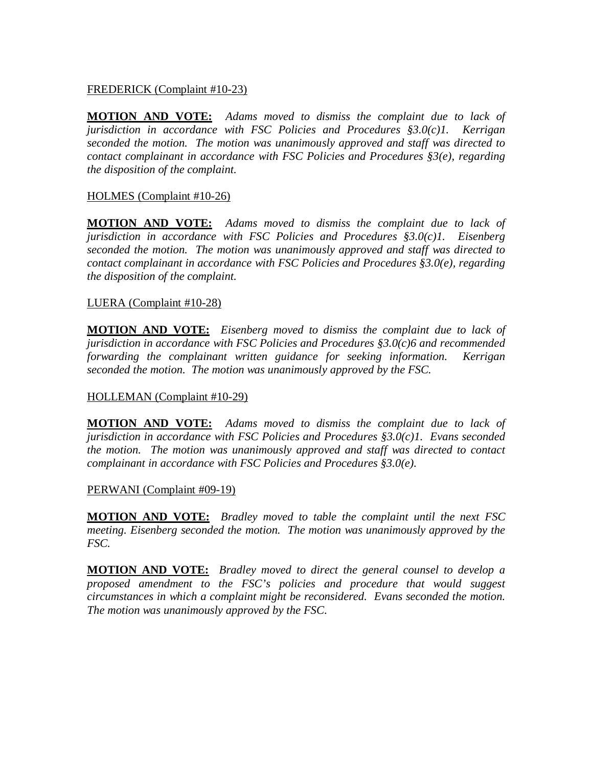## FREDERICK (Complaint #10-23)

**MOTION AND VOTE:** *Adams moved to dismiss the complaint due to lack of jurisdiction in accordance with FSC Policies and Procedures §3.0(c)1. Kerrigan seconded the motion. The motion was unanimously approved and staff was directed to contact complainant in accordance with FSC Policies and Procedures §3(e), regarding the disposition of the complaint.*

# HOLMES (Complaint #10-26)

**MOTION AND VOTE:** *Adams moved to dismiss the complaint due to lack of jurisdiction in accordance with FSC Policies and Procedures §3.0(c)1. Eisenberg seconded the motion. The motion was unanimously approved and staff was directed to contact complainant in accordance with FSC Policies and Procedures §3.0(e), regarding the disposition of the complaint.*

## LUERA (Complaint #10-28)

**MOTION AND VOTE:** *Eisenberg moved to dismiss the complaint due to lack of jurisdiction in accordance with FSC Policies and Procedures §3.0(c)6 and recommended forwarding the complainant written guidance for seeking information. Kerrigan seconded the motion. The motion was unanimously approved by the FSC.*

## HOLLEMAN (Complaint #10-29)

**MOTION AND VOTE:** *Adams moved to dismiss the complaint due to lack of jurisdiction in accordance with FSC Policies and Procedures §3.0(c)1. Evans seconded the motion. The motion was unanimously approved and staff was directed to contact complainant in accordance with FSC Policies and Procedures §3.0(e).*

# PERWANI (Complaint #09-19)

**MOTION AND VOTE:** *Bradley moved to table the complaint until the next FSC meeting. Eisenberg seconded the motion. The motion was unanimously approved by the FSC.*

**MOTION AND VOTE:** *Bradley moved to direct the general counsel to develop a proposed amendment to the FSC's policies and procedure that would suggest circumstances in which a complaint might be reconsidered. Evans seconded the motion. The motion was unanimously approved by the FSC.*